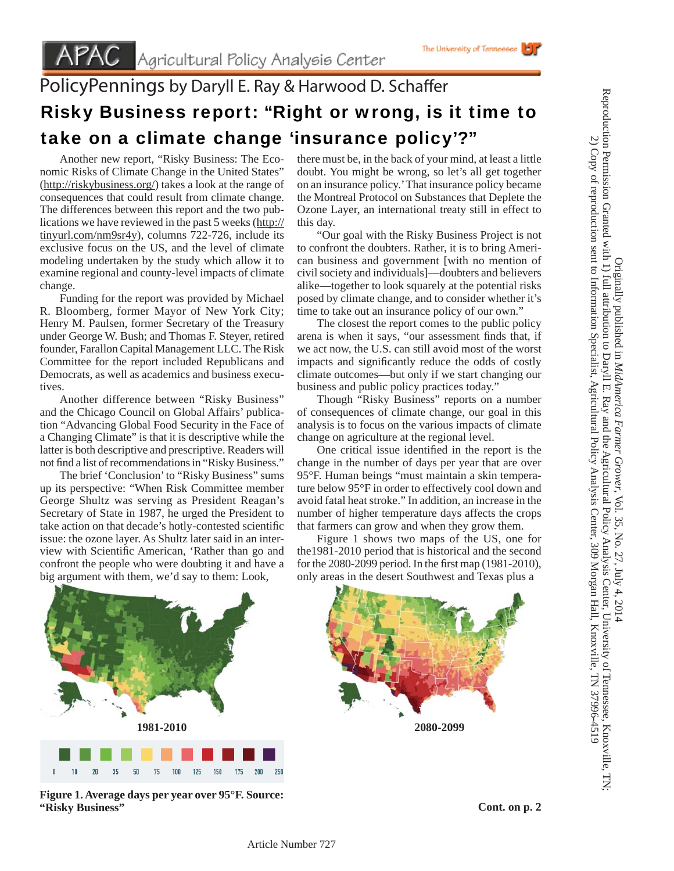## PolicyPennings by Daryll E. Ray & Harwood D. Schaffer Risky Business report: "Right or wrong, is it time to take on a climate change 'insurance policy'?"

 Another new report, "Risky Business: The Economic Risks of Climate Change in the United States" (http://riskybusiness.org/) takes a look at the range of consequences that could result from climate change. The differences between this report and the two publications we have reviewed in the past 5 weeks (http:// tinyurl.com/nm9sr4y), columns 722-726, include its exclusive focus on the US, and the level of climate modeling undertaken by the study which allow it to examine regional and county-level impacts of climate change.

 Funding for the report was provided by Michael R. Bloomberg, former Mayor of New York City; Henry M. Paulsen, former Secretary of the Treasury under George W. Bush; and Thomas F. Steyer, retired founder, Farallon Capital Management LLC. The Risk Committee for the report included Republicans and Democrats, as well as academics and business executives.

 Another difference between "Risky Business" and the Chicago Council on Global Affairs' publication "Advancing Global Food Security in the Face of a Changing Climate" is that it is descriptive while the latter is both descriptive and prescriptive. Readers will not find a list of recommendations in "Risky Business."

 The brief 'Conclusion' to "Risky Business" sums up its perspective: "When Risk Committee member George Shultz was serving as President Reagan's Secretary of State in 1987, he urged the President to take action on that decade's hotly-contested scientific issue: the ozone layer. As Shultz later said in an interview with Scientific American, 'Rather than go and confront the people who were doubting it and have a big argument with them, we'd say to them: Look,

there must be, in the back of your mind, at least a little doubt. You might be wrong, so let's all get together on an insurance policy.' That insurance policy became the Montreal Protocol on Substances that Deplete the Ozone Layer, an international treaty still in effect to this day.

The University of Tennessee

 "Our goal with the Risky Business Project is not to confront the doubters. Rather, it is to bring American business and government [with no mention of civil society and individuals]—doubters and believers alike—together to look squarely at the potential risks posed by climate change, and to consider whether it's time to take out an insurance policy of our own."

 The closest the report comes to the public policy arena is when it says, "our assessment finds that, if we act now, the U.S. can still avoid most of the worst impacts and significantly reduce the odds of costly climate outcomes—but only if we start changing our business and public policy practices today."

 Though "Risky Business" reports on a number of consequences of climate change, our goal in this analysis is to focus on the various impacts of climate change on agriculture at the regional level.

One critical issue identified in the report is the change in the number of days per year that are over 95°F. Human beings "must maintain a skin temperature below 95°F in order to effectively cool down and avoid fatal heat stroke." In addition, an increase in the number of higher temperature days affects the crops that farmers can grow and when they grow them.

 Figure 1 shows two maps of the US, one for the1981-2010 period that is historical and the second for the 2080-2099 period. In the first map  $(1981-2010)$ , only areas in the desert Southwest and Texas plus a



**Figure 1. Average days per year over 95°F. Source: "Risky Business"**